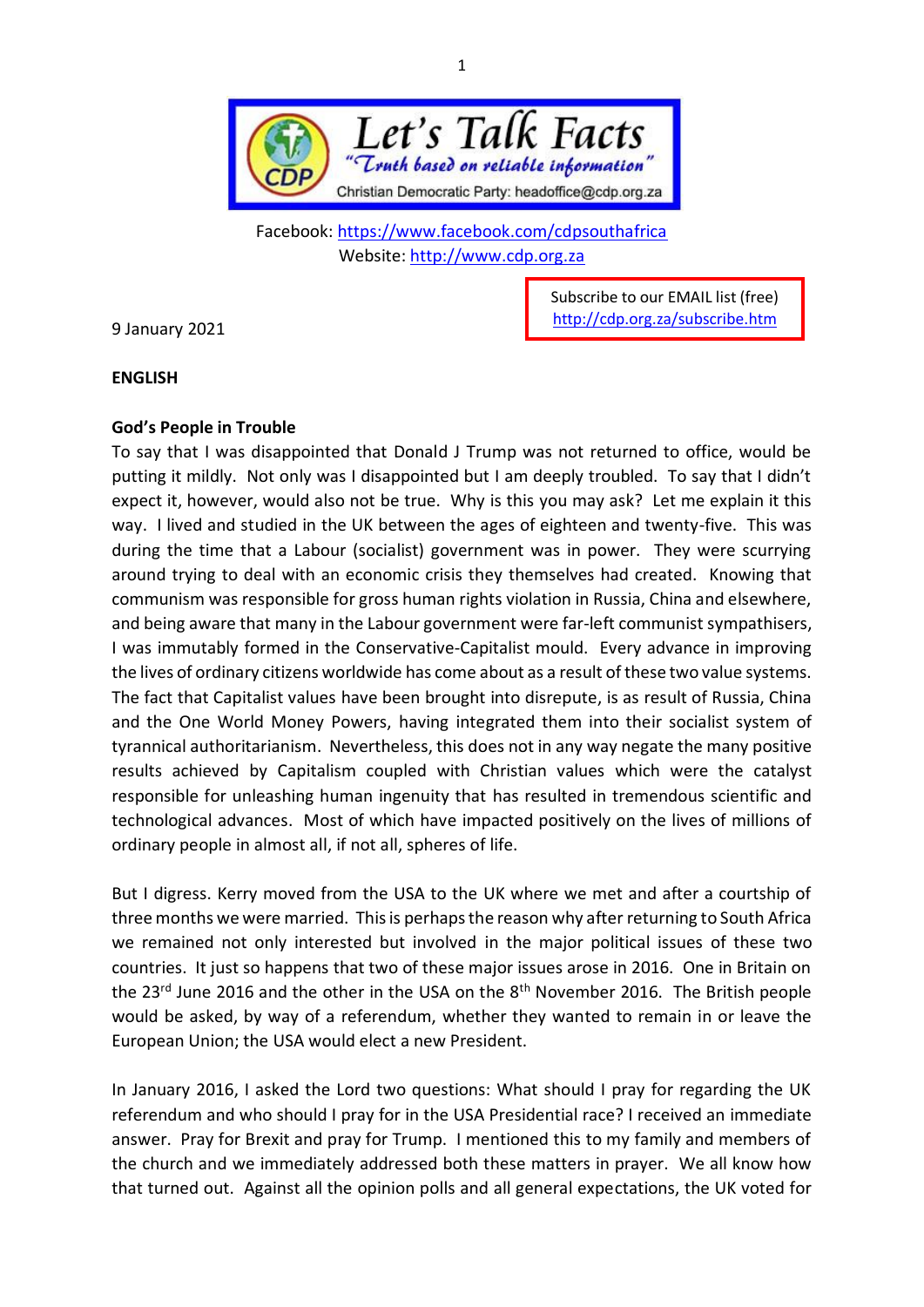

Facebook:<https://www.facebook.com/cdpsouthafrica> Website: [http://www.cdp.org.za](http://www.cdp.org.za/)

9 January 2021

Subscribe to our EMAIL list (free) <http://cdp.org.za/subscribe.htm>

## **ENGLISH**

## **God's People in Trouble**

To say that I was disappointed that Donald J Trump was not returned to office, would be putting it mildly. Not only was I disappointed but I am deeply troubled. To say that I didn't expect it, however, would also not be true. Why is this you may ask? Let me explain it this way. I lived and studied in the UK between the ages of eighteen and twenty-five. This was during the time that a Labour (socialist) government was in power. They were scurrying around trying to deal with an economic crisis they themselves had created. Knowing that communism was responsible for gross human rights violation in Russia, China and elsewhere, and being aware that many in the Labour government were far-left communist sympathisers, I was immutably formed in the Conservative-Capitalist mould. Every advance in improving the lives of ordinary citizens worldwide has come about as a result of these two value systems. The fact that Capitalist values have been brought into disrepute, is as result of Russia, China and the One World Money Powers, having integrated them into their socialist system of tyrannical authoritarianism. Nevertheless, this does not in any way negate the many positive results achieved by Capitalism coupled with Christian values which were the catalyst responsible for unleashing human ingenuity that has resulted in tremendous scientific and technological advances. Most of which have impacted positively on the lives of millions of ordinary people in almost all, if not all, spheres of life.

But I digress. Kerry moved from the USA to the UK where we met and after a courtship of three months we were married. This is perhaps the reason why after returning to South Africa we remained not only interested but involved in the major political issues of these two countries. It just so happens that two of these major issues arose in 2016. One in Britain on the 23<sup>rd</sup> June 2016 and the other in the USA on the 8<sup>th</sup> November 2016. The British people would be asked, by way of a referendum, whether they wanted to remain in or leave the European Union; the USA would elect a new President.

In January 2016, I asked the Lord two questions: What should I pray for regarding the UK referendum and who should I pray for in the USA Presidential race? I received an immediate answer. Pray for Brexit and pray for Trump. I mentioned this to my family and members of the church and we immediately addressed both these matters in prayer. We all know how that turned out. Against all the opinion polls and all general expectations, the UK voted for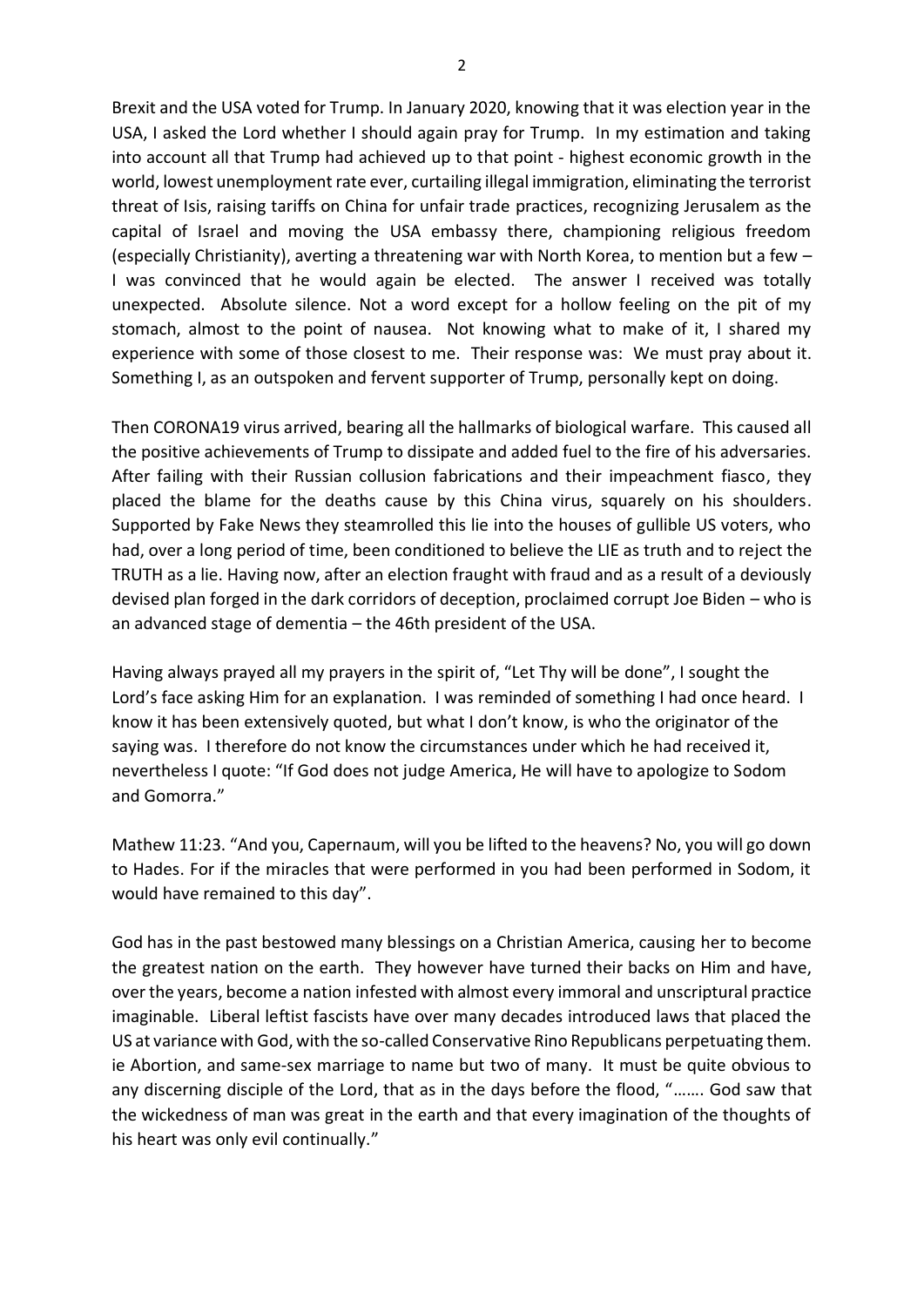Brexit and the USA voted for Trump. In January 2020, knowing that it was election year in the USA, I asked the Lord whether I should again pray for Trump. In my estimation and taking into account all that Trump had achieved up to that point - highest economic growth in the world, lowest unemployment rate ever, curtailing illegal immigration, eliminating the terrorist threat of Isis, raising tariffs on China for unfair trade practices, recognizing Jerusalem as the capital of Israel and moving the USA embassy there, championing religious freedom (especially Christianity), averting a threatening war with North Korea, to mention but a few – I was convinced that he would again be elected. The answer I received was totally unexpected. Absolute silence. Not a word except for a hollow feeling on the pit of my stomach, almost to the point of nausea. Not knowing what to make of it, I shared my experience with some of those closest to me. Their response was: We must pray about it. Something I, as an outspoken and fervent supporter of Trump, personally kept on doing.

Then CORONA19 virus arrived, bearing all the hallmarks of biological warfare. This caused all the positive achievements of Trump to dissipate and added fuel to the fire of his adversaries. After failing with their Russian collusion fabrications and their impeachment fiasco, they placed the blame for the deaths cause by this China virus, squarely on his shoulders. Supported by Fake News they steamrolled this lie into the houses of gullible US voters, who had, over a long period of time, been conditioned to believe the LIE as truth and to reject the TRUTH as a lie. Having now, after an election fraught with fraud and as a result of a deviously devised plan forged in the dark corridors of deception, proclaimed corrupt Joe Biden – who is an advanced stage of dementia – the 46th president of the USA.

Having always prayed all my prayers in the spirit of, "Let Thy will be done", I sought the Lord's face asking Him for an explanation. I was reminded of something I had once heard. I know it has been extensively quoted, but what I don't know, is who the originator of the saying was. I therefore do not know the circumstances under which he had received it, nevertheless I quote: "If God does not judge America, He will have to apologize to Sodom and Gomorra."

Mathew 11:23. "And you, Capernaum, will you be lifted to the heavens? No, you will go down to Hades. For if the miracles that were performed in you had been performed in Sodom, it would have remained to this day".

God has in the past bestowed many blessings on a Christian America, causing her to become the greatest nation on the earth. They however have turned their backs on Him and have, over the years, become a nation infested with almost every immoral and unscriptural practice imaginable. Liberal leftist fascists have over many decades introduced laws that placed the US at variance with God, with the so-called Conservative Rino Republicans perpetuating them. ie Abortion, and same-sex marriage to name but two of many. It must be quite obvious to any discerning disciple of the Lord, that as in the days before the flood, "……. God saw that the wickedness of man was great in the earth and that every imagination of the thoughts of his heart was only evil continually."